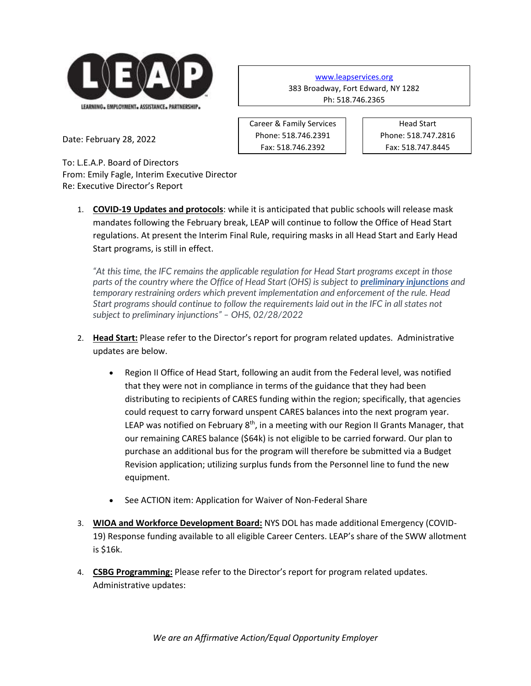

[www.leapservices.org](http://www.leapservices.org/) 383 Broadway, Fort Edward, NY 1282 Ph: 518.746.2365

> Head Start Phone: 518.747.2816 Fax: 518.747.8445

Date: February 28, 2022

To: L.E.A.P. Board of Directors From: Emily Fagle, Interim Executive Director Re: Executive Director's Report

1. **COVID-19 Updates and protocols**: while it is anticipated that public schools will release mask mandates following the February break, LEAP will continue to follow the Office of Head Start regulations. At present the Interim Final Rule, requiring masks in all Head Start and Early Head Start programs, is still in effect.

Career & Family Services Phone: 518.746.2391 Fax: 518.746.2392

*"At this time, the IFC remains the applicable regulation for Head Start programs except in those parts of the country where the Office of Head Start (OHS) is subject to [preliminary injunctions](https://hendall.cmail19.com/t/j-l-zddkrik-tkkudkkruy-h/) and temporary restraining orders which prevent implementation and enforcement of the rule. Head Start programs should continue to follow the requirements laid out in the IFC in all states not subject to preliminary injunctions" – OHS, 02/28/2022*

- 2. **Head Start:** Please refer to the Director's report for program related updates. Administrative updates are below.
	- Region II Office of Head Start, following an audit from the Federal level, was notified that they were not in compliance in terms of the guidance that they had been distributing to recipients of CARES funding within the region; specifically, that agencies could request to carry forward unspent CARES balances into the next program year. LEAP was notified on February 8<sup>th</sup>, in a meeting with our Region II Grants Manager, that our remaining CARES balance (\$64k) is not eligible to be carried forward. Our plan to purchase an additional bus for the program will therefore be submitted via a Budget Revision application; utilizing surplus funds from the Personnel line to fund the new equipment.
	- See ACTION item: Application for Waiver of Non-Federal Share
- 3. **WIOA and Workforce Development Board:** NYS DOL has made additional Emergency (COVID-19) Response funding available to all eligible Career Centers. LEAP's share of the SWW allotment is \$16k.
- 4. **CSBG Programming:** Please refer to the Director's report for program related updates. Administrative updates: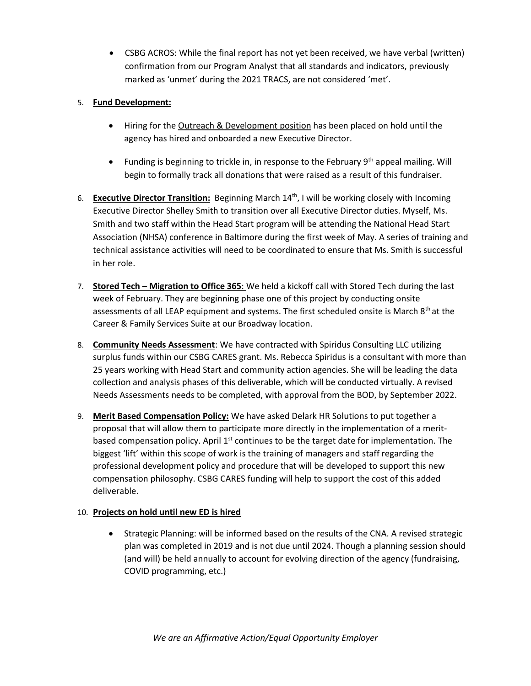• CSBG ACROS: While the final report has not yet been received, we have verbal (written) confirmation from our Program Analyst that all standards and indicators, previously marked as 'unmet' during the 2021 TRACS, are not considered 'met'.

## 5. **Fund Development:**

- Hiring for the Outreach & Development position has been placed on hold until the agency has hired and onboarded a new Executive Director.
- Funding is beginning to trickle in, in response to the February  $9<sup>th</sup>$  appeal mailing. Will begin to formally track all donations that were raised as a result of this fundraiser.
- 6. **Executive Director Transition:** Beginning March 14th, I will be working closely with Incoming Executive Director Shelley Smith to transition over all Executive Director duties. Myself, Ms. Smith and two staff within the Head Start program will be attending the National Head Start Association (NHSA) conference in Baltimore during the first week of May. A series of training and technical assistance activities will need to be coordinated to ensure that Ms. Smith is successful in her role.
- 7. **Stored Tech – Migration to Office 365**: We held a kickoff call with Stored Tech during the last week of February. They are beginning phase one of this project by conducting onsite assessments of all LEAP equipment and systems. The first scheduled onsite is March  $8<sup>th</sup>$  at the Career & Family Services Suite at our Broadway location.
- 8. **Community Needs Assessment**: We have contracted with Spiridus Consulting LLC utilizing surplus funds within our CSBG CARES grant. Ms. Rebecca Spiridus is a consultant with more than 25 years working with Head Start and community action agencies. She will be leading the data collection and analysis phases of this deliverable, which will be conducted virtually. A revised Needs Assessments needs to be completed, with approval from the BOD, by September 2022.
- 9. **Merit Based Compensation Policy:** We have asked Delark HR Solutions to put together a proposal that will allow them to participate more directly in the implementation of a meritbased compensation policy. April  $1<sup>st</sup>$  continues to be the target date for implementation. The biggest 'lift' within this scope of work is the training of managers and staff regarding the professional development policy and procedure that will be developed to support this new compensation philosophy. CSBG CARES funding will help to support the cost of this added deliverable.

## 10. **Projects on hold until new ED is hired**

• Strategic Planning: will be informed based on the results of the CNA. A revised strategic plan was completed in 2019 and is not due until 2024. Though a planning session should (and will) be held annually to account for evolving direction of the agency (fundraising, COVID programming, etc.)